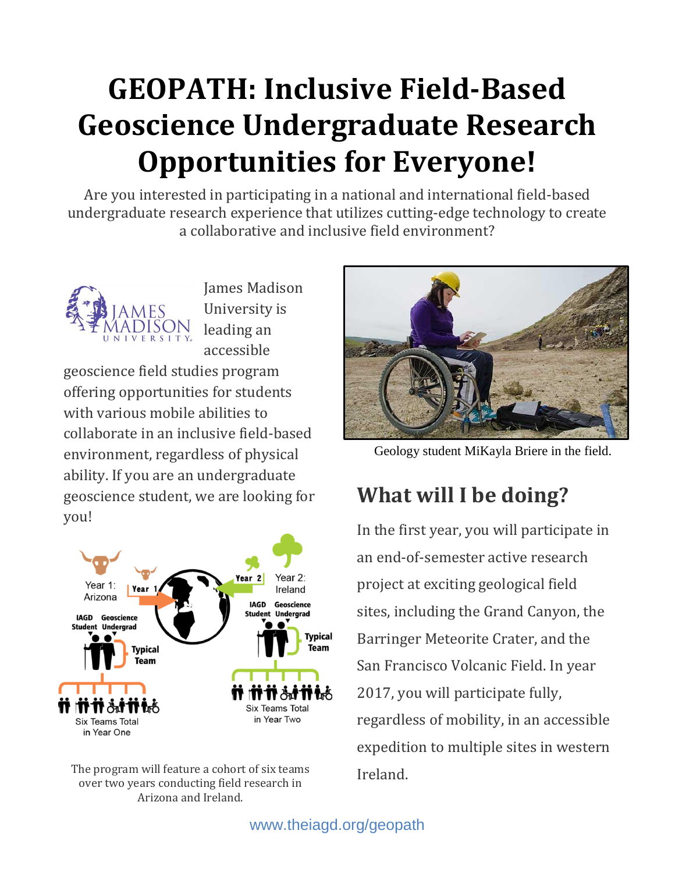## **GEOPATH: Inclusive Field-Based Geoscience Undergraduate Research Opportunities for Everyone!**

Are you interested in participating in a national and international field-based undergraduate research experience that utilizes cutting-edge technology to create a collaborative and inclusive field environment?



James Madison University is leading an accessible

geoscience field studies program offering opportunities for students with various mobile abilities to collaborate in an inclusive field-based environment, regardless of physical ability. If you are an undergraduate geoscience student, we are looking for you!



The program will feature a cohort of six teams over two years conducting field research in Arizona and Ireland.



Geology student MiKayla Briere in the field.

## **What will I be doing?**

In the first year, you will participate in an end-of-semester active research project at exciting geological field sites, including the Grand Canyon, the Barringer Meteorite Crater, and the San Francisco Volcanic Field. In year 2017, you will participate fully, regardless of mobility, in an accessible expedition to multiple sites in western Ireland.